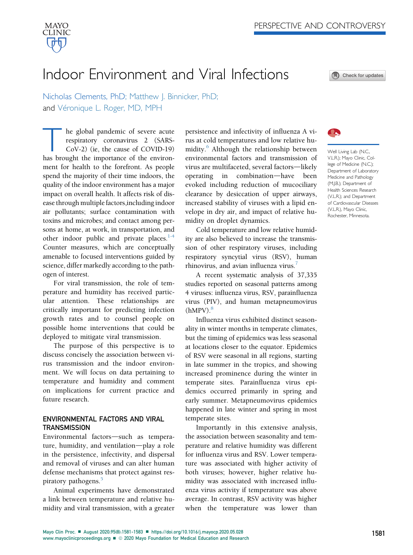

# Indoor Environment and Viral Infections

Check for updates

Nicholas Clements, PhD; Matthew J. Binnicker, PhD; and Véronique L. Roger, MD, MPH

he global pandemic of severe acute<br>respiratory coronavirus 2 (SARS-<br>CoV-2) (ie, the cause of COVID-19)<br>has brought the importance of the environrespiratory coronavirus 2 (SARS-CoV-2) (ie, the cause of COVID-19) ment for health to the forefront. As people spend the majority of their time indoors, the quality of the indoor environment has a major impact on overall health. It affects risk of disease through multiple factors,including indoor air pollutants; surface contamination with toxins and microbes; and contact among persons at home, at work, in transportation, and other indoor public and private places. $1-4$ Counter measures, which are conceptually amenable to focused interventions guided by science, differ markedly according to the pathogen of interest.

For viral transmission, the role of temperature and humidity has received particular attention. These relationships are critically important for predicting infection growth rates and to counsel people on possible home interventions that could be deployed to mitigate viral transmission.

The purpose of this perspective is to discuss concisely the association between virus transmission and the indoor environment. We will focus on data pertaining to temperature and humidity and comment on implications for current practice and future research.

## ENVIRONMENTAL FACTORS AND VIRAL **TRANSMISSION**

Environmental factors-such as temperature, humidity, and ventilation-play a role in the persistence, infectivity, and dispersal and removal of viruses and can alter human defense mechanisms that protect against res-piratory pathogens.<sup>[5](#page-2-1)</sup>

Animal experiments have demonstrated a link between temperature and relative humidity and viral transmission, with a greater

persistence and infectivity of influenza A virus at cold temperatures and low relative hu-midity.<sup>[6](#page-2-2)</sup> Although the relationship between environmental factors and transmission of virus are multifaceted, several factors—likely operating in combination—have been evoked including reduction of mucociliary clearance by desiccation of upper airways, increased stability of viruses with a lipid envelope in dry air, and impact of relative humidity on droplet dynamics.

Cold temperature and low relative humidity are also believed to increase the transmission of other respiratory viruses, including respiratory syncytial virus (RSV), human rhinovirus, and avian influenza virus.<sup>7</sup>

A recent systematic analysis of 37,335 studies reported on seasonal patterns among 4 viruses: influenza virus, RSV, parainfluenza virus (PIV), and human metapneumovirus  $(hMPV).<sup>8</sup>$ 

Influenza virus exhibited distinct seasonality in winter months in temperate climates, but the timing of epidemics was less seasonal at locations closer to the equator. Epidemics of RSV were seasonal in all regions, starting in late summer in the tropics, and showing increased prominence during the winter in temperate sites. Parainfluenza virus epidemics occurred primarily in spring and early summer. Metapneumovirus epidemics happened in late winter and spring in most temperate sites.

Importantly in this extensive analysis, the association between seasonality and temperature and relative humidity was different for influenza virus and RSV. Lower temperature was associated with higher activity of both viruses; however, higher relative humidity was associated with increased influenza virus activity if temperature was above average. In contrast, RSV activity was higher when the temperature was lower than



Well Living Lab (N.C., V.L.R.); Mayo Clinic, College of Medicine (N.C.); Department of Laboratory Medicine and Pathology (M.J.B.); Department of Health Sciences Research (V.L.R.); and Department of Cardiovascular Diseases (V.L.R.), Mayo Clinic, Rochester, Minnesota.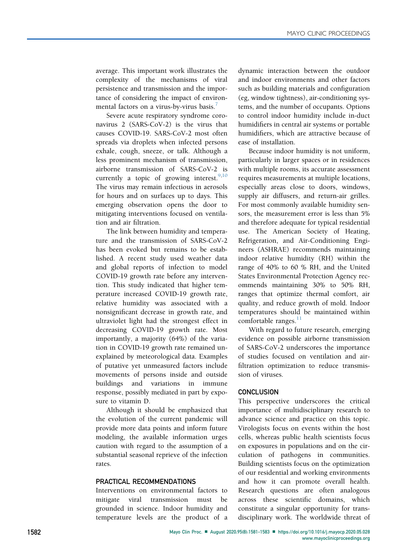average. This important work illustrates the complexity of the mechanisms of viral persistence and transmission and the importance of considering the impact of environ-mental factors on a virus-by-virus basis.<sup>[7](#page-2-3)</sup>

Severe acute respiratory syndrome coronavirus 2 (SARS-CoV-2) is the virus that causes COVID-19. SARS-CoV-2 most often spreads via droplets when infected persons exhale, cough, sneeze, or talk. Although a less prominent mechanism of transmission, airborne transmission of SARS-CoV-2 is currently a topic of growing interest.  $9,10$  $9,10$ The virus may remain infectious in aerosols for hours and on surfaces up to days. This emerging observation opens the door to mitigating interventions focused on ventilation and air filtration.

The link between humidity and temperature and the transmission of SARS-CoV-2 has been evoked but remains to be established. A recent study used weather data and global reports of infection to model COVID-19 growth rate before any intervention. This study indicated that higher temperature increased COVID-19 growth rate, relative humidity was associated with a nonsignificant decrease in growth rate, and ultraviolet light had the strongest effect in decreasing COVID-19 growth rate. Most importantly, a majority (64%) of the variation in COVID-19 growth rate remained unexplained by meteorological data. Examples of putative yet unmeasured factors include movements of persons inside and outside buildings and variations in immune response, possibly mediated in part by exposure to vitamin D.

Although it should be emphasized that the evolution of the current pandemic will provide more data points and inform future modeling, the available information urges caution with regard to the assumption of a substantial seasonal reprieve of the infection rates.

## PRACTICAL RECOMMENDATIONS

Interventions on environmental factors to mitigate viral transmission must be grounded in science. Indoor humidity and temperature levels are the product of a dynamic interaction between the outdoor and indoor environments and other factors such as building materials and configuration (eg, window tightness), air-conditioning systems, and the number of occupants. Options to control indoor humidity include in-duct humidifiers in central air systems or portable humidifiers, which are attractive because of ease of installation.

Because indoor humidity is not uniform, particularly in larger spaces or in residences with multiple rooms, its accurate assessment requires measurements at multiple locations, especially areas close to doors, windows, supply air diffusers, and return-air grilles. For most commonly available humidity sensors, the measurement error is less than 5% and therefore adequate for typical residential use. The American Society of Heating, Refrigeration, and Air-Conditioning Engineers (ASHRAE) recommends maintaining indoor relative humidity (RH) within the range of 40% to 60 % RH, and the United States Environmental Protection Agency recommends maintaining 30% to 50% RH, ranges that optimize thermal comfort, air quality, and reduce growth of mold. Indoor temperatures should be maintained within comfortable ranges. $^{11}$  $^{11}$  $^{11}$ 

With regard to future research, emerging evidence on possible airborne transmission of SARS-CoV-2 underscores the importance of studies focused on ventilation and airfiltration optimization to reduce transmission of viruses.

### **CONCLUSION**

This perspective underscores the critical importance of multidisciplinary research to advance science and practice on this topic. Virologists focus on events within the host cells, whereas public health scientists focus on exposures in populations and on the circulation of pathogens in communities. Building scientists focus on the optimization of our residential and working environments and how it can promote overall health. Research questions are often analogous across these scientific domains, which constitute a singular opportunity for transdisciplinary work. The worldwide threat of